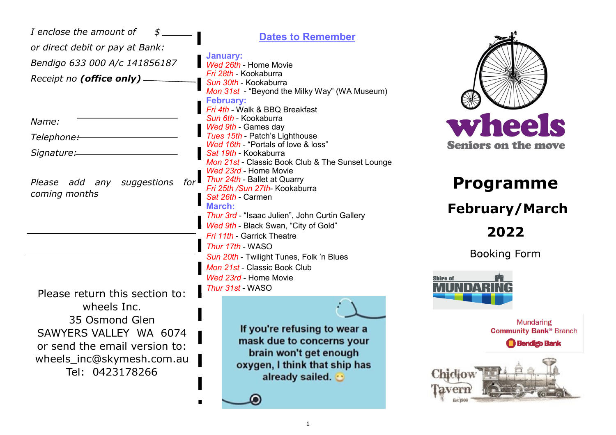| I enclose the amount of<br>or direct debit or pay at Bank:<br>Bendigo 633 000 A/c 141856187<br>Receipt no (office only).                 | <b>Dates to Remember</b><br>January:<br>Wed 26th - Home Movie<br>Fri 28th - Kookaburra<br>Sun 30th - Kookaburra<br>Mon 31st - "Beyond the Milky Way" (WA Museum)<br><b>February:</b>                                                                         |                                                                                                      |
|------------------------------------------------------------------------------------------------------------------------------------------|--------------------------------------------------------------------------------------------------------------------------------------------------------------------------------------------------------------------------------------------------------------|------------------------------------------------------------------------------------------------------|
| Name:<br>Telephone:<br>Signature:                                                                                                        | Fri 4th - Walk & BBQ Breakfast<br>Sun 6th - Kookaburra<br>Wed 9th - Games day<br>Tues 15th - Patch's Lighthouse<br>Wed 16th - "Portals of love & loss"<br>Sat 19th - Kookaburra<br>Mon 21st - Classic Book Club & The Sunset Lounge<br>Wed 23rd - Home Movie | wheels<br><b>Seniors on the move</b>                                                                 |
| $for \blacksquare$<br>Please add any suggestions<br>coming months                                                                        | Thur 24th - Ballet at Quarry<br>Fri 25th /Sun 27th- Kookaburra<br>Sat 26th - Carmen<br><b>March:</b><br>Thur 3rd - "Isaac Julien", John Curtin Gallery                                                                                                       | <b>Programme</b><br><b>February/March</b>                                                            |
| Please return this section to:                                                                                                           | Wed 9th - Black Swan, "City of Gold"<br>Fri 11th - Garrick Theatre<br>Thur 17th - WASO<br>Sun 20th - Twilight Tunes, Folk 'n Blues<br>Mon 21st - Classic Book Club<br>Wed 23rd - Home Movie<br>Thur 31st - WASO                                              | 2022<br><b>Booking Form</b><br>Shire of                                                              |
| wheels Inc.<br>35 Osmond Glen<br>SAWYERS VALLEY WA 6074<br>or send the email version to:<br>wheels_inc@skymesh.com.au<br>Tel: 0423178266 | If you're refusing to wear a<br>mask due to concerns your<br>brain won't get enough<br>oxygen, I think that ship has<br>already sailed.                                                                                                                      | <b>Mundaring</b><br><b>Community Bank® Branch</b><br><b>Bendigo Bank</b><br><b>Chiclow</b><br>laverr |